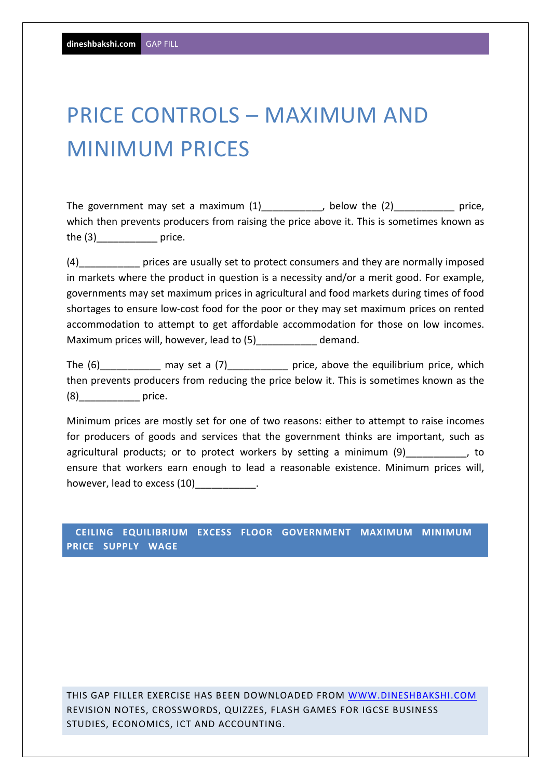## PRICE CONTROLS – MAXIMUM AND MINIMUM PRICES

The government may set a maximum (1) The government may set a maximum (1) and the control of the (2) which then prevents producers from raising the price above it. This is sometimes known as the (3) erice.

(4)\_\_\_\_\_\_\_\_\_\_\_ prices are usually set to protect consumers and they are normally imposed in markets where the product in question is a necessity and/or a merit good. For example, governments may set maximum prices in agricultural and food markets during times of food shortages to ensure low-cost food for the poor or they may set maximum prices on rented accommodation to attempt to get affordable accommodation for those on low incomes. Maximum prices will, however, lead to (5) demand.

The  $(6)$  may set a  $(7)$  price, above the equilibrium price, which then prevents producers from reducing the price below it. This is sometimes known as the (8)\_\_\_\_\_\_\_\_\_\_\_ price.

Minimum prices are mostly set for one of two reasons: either to attempt to raise incomes for producers of goods and services that the government thinks are important, such as agricultural products; or to protect workers by setting a minimum (9) and to to ensure that workers earn enough to lead a reasonable existence. Minimum prices will, however, lead to excess (10)\_\_\_\_\_\_\_\_\_\_\_\_.

 **CEILING EQUILIBRIUM EXCESS FLOOR GOVERNMENT MAXIMUM MINIMUM PRICE SUPPLY WAGE** 

THIS GAP FILLER EXERCISE HAS BEEN DOWNLOADED FROM WWW.DINESHBAKSHI.COM REVISION NOTES, CROSSWORDS, QUIZZES, FLASH GAMES FOR IGCSE BUSINESS STUDIES, ECONOMICS, ICT AND ACCOUNTING.